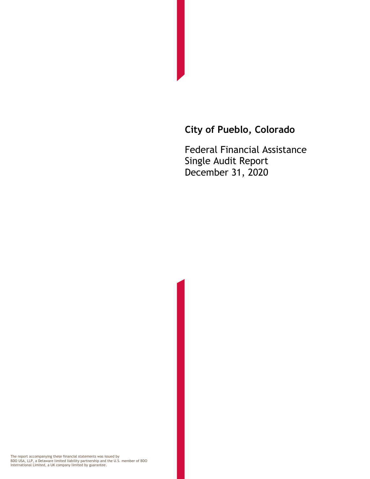## **City of Pueblo, Colorado**

Federal Financial Assistance Single Audit Report December 31, 2020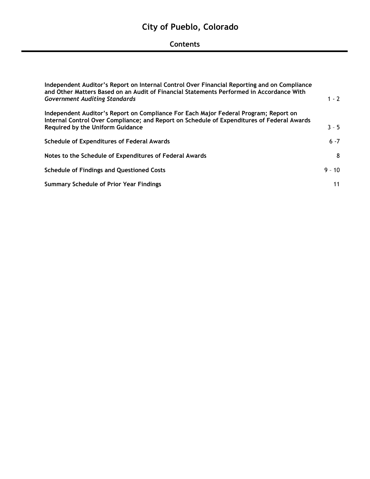## **City of Pueblo, Colorado**

## **Contents**

| Independent Auditor's Report on Internal Control Over Financial Reporting and on Compliance<br>and Other Matters Based on an Audit of Financial Statements Performed in Accordance With |          |  |  |
|-----------------------------------------------------------------------------------------------------------------------------------------------------------------------------------------|----------|--|--|
| <b>Government Auditing Standards</b>                                                                                                                                                    | $1 - 2$  |  |  |
| Independent Auditor's Report on Compliance For Each Major Federal Program; Report on<br>Internal Control Over Compliance; and Report on Schedule of Expenditures of Federal Awards      |          |  |  |
| <b>Required by the Uniform Guidance</b>                                                                                                                                                 | $3 - 5$  |  |  |
| <b>Schedule of Expenditures of Federal Awards</b>                                                                                                                                       | $6 - 7$  |  |  |
| Notes to the Schedule of Expenditures of Federal Awards                                                                                                                                 | 8        |  |  |
| <b>Schedule of Findings and Questioned Costs</b>                                                                                                                                        | $9 - 10$ |  |  |
| <b>Summary Schedule of Prior Year Findings</b>                                                                                                                                          | 11       |  |  |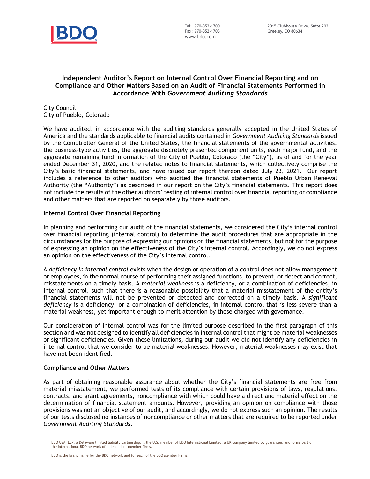

#### **Independent Auditor's Report on Internal Control Over Financial Reporting and on Compliance and Other Matters Based on an Audit of Financial Statements Performed in Accordance With** *Government Auditing Standards*

City Council City of Pueblo, Colorado

We have audited, in accordance with the auditing standards generally accepted in the United States of America and the standards applicable to financial audits contained in *Government Auditing Standards* issued by the Comptroller General of the United States, the financial statements of the governmental activities, the business-type activities, the aggregate discretely presented component units, each major fund, and the aggregate remaining fund information of the City of Pueblo, Colorado (the "City"), as of and for the year ended December 31, 2020, and the related notes to financial statements, which collectively comprise the City's basic financial statements, and have issued our report thereon dated July 23, 2021. Our report includes a reference to other auditors who audited the financial statements of Pueblo Urban Renewal Authority (the "Authority") as described in our report on the City's financial statements. This report does not include the results of the other auditors' testing of internal control over financial reporting or compliance and other matters that are reported on separately by those auditors.

#### **Internal Control Over Financial Reporting**

In planning and performing our audit of the financial statements, we considered the City's internal control over financial reporting (internal control) to determine the audit procedures that are appropriate in the circumstances for the purpose of expressing our opinions on the financial statements, but not for the purpose of expressing an opinion on the effectiveness of the City's internal control. Accordingly, we do not express an opinion on the effectiveness of the City's internal control.

A *deficiency in internal control* exists when the design or operation of a control does not allow management or employees, in the normal course of performing their assigned functions, to prevent, or detect and correct, misstatements on a timely basis. A *material weakness* is a deficiency, or a combination of deficiencies, in internal control, such that there is a reasonable possibility that a material misstatement of the entity's financial statements will not be prevented or detected and corrected on a timely basis. A *significant deficiency* is a deficiency, or a combination of deficiencies, in internal control that is less severe than a material weakness, yet important enough to merit attention by those charged with governance.

Our consideration of internal control was for the limited purpose described in the first paragraph of this section and was not designed to identify all deficiencies in internal control that might be material weaknesses or significant deficiencies. Given these limitations, during our audit we did not identify any deficiencies in internal control that we consider to be material weaknesses. However, material weaknesses may exist that have not been identified.

#### **Compliance and Other Matters**

As part of obtaining reasonable assurance about whether the City's financial statements are free from material misstatement, we performed tests of its compliance with certain provisions of laws, regulations, contracts, and grant agreements, noncompliance with which could have a direct and material effect on the determination of financial statement amounts. However, providing an opinion on compliance with those provisions was not an objective of our audit, and accordingly, we do not express such an opinion. The results of our tests disclosed no instances of noncompliance or other matters that are required to be reported under *Government Auditing Standards*.

BDO USA, LLP, a Delaware limited liability partnership, is the U.S. member of BDO International Limited, a UK company limited by guarantee, and forms part of the international BDO network of independent member firms.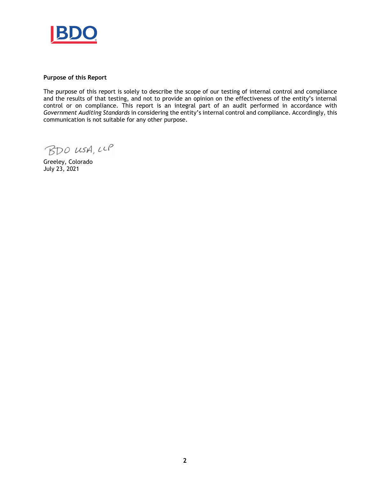

#### **Purpose of this Report**

The purpose of this report is solely to describe the scope of our testing of internal control and compliance and the results of that testing, and not to provide an opinion on the effectiveness of the entity's internal control or on compliance. This report is an integral part of an audit performed in accordance with *Government Auditing Standards* in considering the entity's internal control and compliance. Accordingly, this communication is not suitable for any other purpose.

BDO USA, LLP

Greeley, Colorado July 23, 2021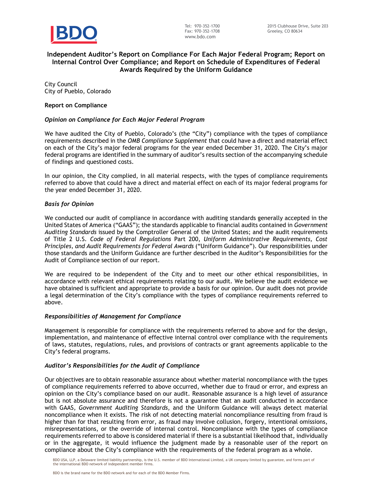

#### **Independent Auditor's Report on Compliance For Each Major Federal Program; Report on Internal Control Over Compliance; and Report on Schedule of Expenditures of Federal Awards Required by the Uniform Guidance**

City Council City of Pueblo, Colorado

#### **Report on Compliance**

#### *Opinion on Compliance for Each Major Federal Program*

We have audited the City of Pueblo, Colorado's (the "City") compliance with the types of compliance requirements described in the *OMB Compliance Supplement* that could have a direct and material effect on each of the City's major federal programs for the year ended December 31, 2020. The City's major federal programs are identified in the summary of auditor's results section of the accompanying schedule of findings and questioned costs.

In our opinion, the City complied, in all material respects, with the types of compliance requirements referred to above that could have a direct and material effect on each of its major federal programs for the year ended December 31, 2020.

#### *Basis for Opinion*

We conducted our audit of compliance in accordance with auditing standards generally accepted in the United States of America ("GAAS"); the standards applicable to financial audits contained in *Government Auditing Standards* issued by the Comptroller General of the United States; and the audit requirements of Title 2 U.S. *Code of Federal Regulations* Part 200, *Uniform Administrative Requirements, Cost Principles, and Audit Requirements for Federal Awards* ("Uniform Guidance")*.* Our responsibilities under those standards and the Uniform Guidance are further described in the Auditor's Responsibilities for the Audit of Compliance section of our report.

We are required to be independent of the City and to meet our other ethical responsibilities, in accordance with relevant ethical requirements relating to our audit. We believe the audit evidence we have obtained is sufficient and appropriate to provide a basis for our opinion. Our audit does not provide a legal determination of the City's compliance with the types of compliance requirements referred to above.

#### *Responsibilities of Management for Compliance*

Management is responsible for compliance with the requirements referred to above and for the design, implementation, and maintenance of effective internal control over compliance with the requirements of laws, statutes, regulations, rules, and provisions of contracts or grant agreements applicable to the City's federal programs.

#### *Auditor's Responsibilities for the Audit of Compliance*

Our objectives are to obtain reasonable assurance about whether material noncompliance with the types of compliance requirements referred to above occurred, whether due to fraud or error, and express an opinion on the City's compliance based on our audit. Reasonable assurance is a high level of assurance but is not absolute assurance and therefore is not a guarantee that an audit conducted in accordance with GAAS, *Government Auditing Standards*, and the Uniform Guidance will always detect material noncompliance when it exists. The risk of not detecting material noncompliance resulting from fraud is higher than for that resulting from error, as fraud may involve collusion, forgery, intentional omissions, misrepresentations, or the override of internal control. Noncompliance with the types of compliance requirements referred to above is considered material if there is a substantial likelihood that, individually or in the aggregate, it would influence the judgment made by a reasonable user of the report on compliance about the City's compliance with the requirements of the federal program as a whole.

BDO USA, LLP, a Delaware limited liability partnership, is the U.S. member of BDO International Limited, a UK company limited by guarantee, and forms part of the international BDO network of independent member firms.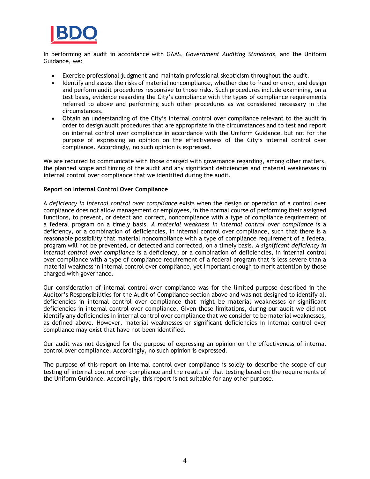

In performing an audit in accordance with GAAS, *Government Auditing Standards*, and the Uniform Guidance, we:

- Exercise professional judgment and maintain professional skepticism throughout the audit.
- Identify and assess the risks of material noncompliance, whether due to fraud or error, and design and perform audit procedures responsive to those risks. Such procedures include examining, on a test basis, evidence regarding the City's compliance with the types of compliance requirements referred to above and performing such other procedures as we considered necessary in the circumstances.
- Obtain an understanding of the City's internal control over compliance relevant to the audit in order to design audit procedures that are appropriate in the circumstances and to test and report on internal control over compliance in accordance with the Uniform Guidance, but not for the purpose of expressing an opinion on the effectiveness of the City's internal control over compliance. Accordingly, no such opinion is expressed.

We are required to communicate with those charged with governance regarding, among other matters, the planned scope and timing of the audit and any significant deficiencies and material weaknesses in internal control over compliance that we identified during the audit.

#### **Report on Internal Control Over Compliance**

A *deficiency in internal control over compliance* exists when the design or operation of a control over compliance does not allow management or employees, in the normal course of performing their assigned functions, to prevent, or detect and correct, noncompliance with a type of compliance requirement of a federal program on a timely basis. *A material weakness in internal control over compliance* is a deficiency, or a combination of deficiencies, in internal control over compliance, such that there is a reasonable possibility that material noncompliance with a type of compliance requirement of a federal program will not be prevented, or detected and corrected, on a timely basis*. A significant deficiency in internal control over compliance* is a deficiency, or a combination of deficiencies, in internal control over compliance with a type of compliance requirement of a federal program that is less severe than a material weakness in internal control over compliance, yet important enough to merit attention by those charged with governance.

Our consideration of internal control over compliance was for the limited purpose described in the Auditor's Responsibilities for the Audit of Compliance section above and was not designed to identify all deficiencies in internal control over compliance that might be material weaknesses or significant deficiencies in internal control over compliance. Given these limitations, during our audit we did not identify any deficiencies in internal control over compliance that we consider to be material weaknesses, as defined above. However, material weaknesses or significant deficiencies in internal control over compliance may exist that have not been identified.

Our audit was not designed for the purpose of expressing an opinion on the effectiveness of internal control over compliance. Accordingly, no such opinion is expressed.

The purpose of this report on internal control over compliance is solely to describe the scope of our testing of internal control over compliance and the results of that testing based on the requirements of the Uniform Guidance. Accordingly, this report is not suitable for any other purpose.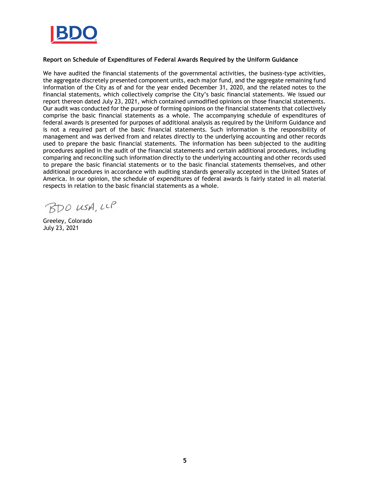

#### **Report on Schedule of Expenditures of Federal Awards Required by the Uniform Guidance**

We have audited the financial statements of the governmental activities, the business-type activities, the aggregate discretely presented component units, each major fund, and the aggregate remaining fund information of the City as of and for the year ended December 31, 2020, and the related notes to the financial statements, which collectively comprise the City's basic financial statements. We issued our report thereon dated July 23, 2021, which contained unmodified opinions on those financial statements. Our audit was conducted for the purpose of forming opinions on the financial statements that collectively comprise the basic financial statements as a whole. The accompanying schedule of expenditures of federal awards is presented for purposes of additional analysis as required by the Uniform Guidance and is not a required part of the basic financial statements. Such information is the responsibility of management and was derived from and relates directly to the underlying accounting and other records used to prepare the basic financial statements. The information has been subjected to the auditing procedures applied in the audit of the financial statements and certain additional procedures, including comparing and reconciling such information directly to the underlying accounting and other records used to prepare the basic financial statements or to the basic financial statements themselves, and other additional procedures in accordance with auditing standards generally accepted in the United States of America. In our opinion, the schedule of expenditures of federal awards is fairly stated in all material respects in relation to the basic financial statements as a whole.

BDO USA, LLP

Greeley, Colorado July 23, 2021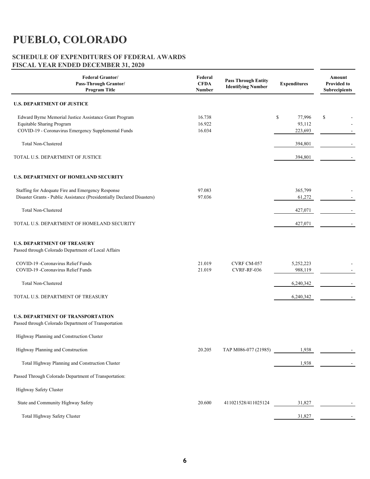# **PUEBLO, COLORADO**

#### **SCHEDULE OF EXPENDITURES OF FEDERAL AWARDS FISCAL YEAR ENDED DECEMBER 31, 2020**

| <b>Federal Grantor/</b><br>Pass-Through Grantor/<br><b>Program Title</b>                                                                   | Federal<br><b>CFDA</b><br><b>Number</b> | <b>Pass Through Entity</b><br><b>Identifying Number</b> | <b>Expenditures</b>               | Amount<br><b>Provided to</b><br><b>Subrecipients</b> |
|--------------------------------------------------------------------------------------------------------------------------------------------|-----------------------------------------|---------------------------------------------------------|-----------------------------------|------------------------------------------------------|
| <b>U.S. DEPARTMENT OF JUSTICE</b>                                                                                                          |                                         |                                                         |                                   |                                                      |
| Edward Byrne Memorial Justice Assistance Grant Program<br>Equitable Sharing Program<br>COVID-19 - Coronavirus Emergency Supplemental Funds | 16.738<br>16.922<br>16.034              |                                                         | \$<br>77,996<br>93,112<br>223,693 | \$                                                   |
| <b>Total Non-Clustered</b>                                                                                                                 |                                         |                                                         | 394,801                           |                                                      |
| TOTAL U.S. DEPARTMENT OF JUSTICE                                                                                                           |                                         |                                                         | 394,801                           |                                                      |
| <b>U.S. DEPARTMENT OF HOMELAND SECURITY</b>                                                                                                |                                         |                                                         |                                   |                                                      |
| Staffing for Adequate Fire and Emergency Response<br>Disaster Grants - Public Assistance (Presidentially Declared Disasters)               | 97.083<br>97.036                        |                                                         | 365,799<br>61,272                 |                                                      |
| <b>Total Non-Clustered</b>                                                                                                                 |                                         |                                                         | 427,071                           |                                                      |
| TOTAL U.S. DEPARTMENT OF HOMELAND SECURITY                                                                                                 |                                         |                                                         | 427,071                           |                                                      |
| <b>U.S. DEPARTMENT OF TREASURY</b><br>Passed through Colorado Department of Local Affairs                                                  |                                         |                                                         |                                   |                                                      |
| COVID-19 - Coronavirus Relief Funds<br>COVID-19 -Coronavirus Relief Funds                                                                  | 21.019<br>21.019                        | CVRF CM-057<br>CVRF-RF-036                              | 5,252,223<br>988,119              |                                                      |
| <b>Total Non-Clustered</b>                                                                                                                 |                                         |                                                         | 6,240,342                         |                                                      |
| TOTAL U.S. DEPARTMENT OF TREASURY                                                                                                          |                                         |                                                         | 6,240,342                         |                                                      |
| <b>U.S. DEPARTMENT OF TRANSPORTATION</b><br>Passed through Colorado Department of Transportation                                           |                                         |                                                         |                                   |                                                      |
| Highway Planning and Construction Cluster                                                                                                  |                                         |                                                         |                                   |                                                      |
| Highway Planning and Construction                                                                                                          | 20.205                                  | TAP M086-077 (21985)                                    | 1,938                             |                                                      |
| Total Highway Planning and Construction Cluster                                                                                            |                                         |                                                         | 1,938                             |                                                      |
| Passed Through Colorado Department of Transportation:                                                                                      |                                         |                                                         |                                   |                                                      |
| Highway Safety Cluster                                                                                                                     |                                         |                                                         |                                   |                                                      |
| State and Community Highway Safety                                                                                                         | 20.600                                  | 411021528/411025124                                     | 31,827                            |                                                      |
| Total Highway Safety Cluster                                                                                                               |                                         |                                                         | 31,827                            |                                                      |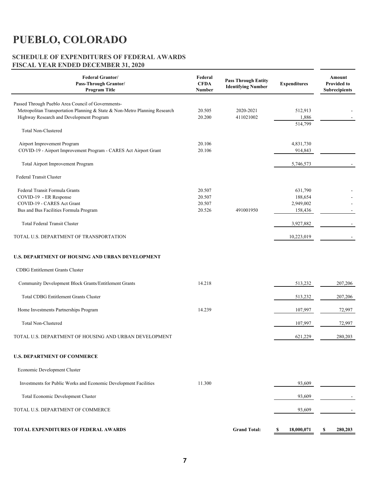# **PUEBLO, COLORADO**

### **SCHEDULE OF EXPENDITURES OF FEDERAL AWARDS FISCAL YEAR ENDED DECEMBER 31, 2020**

| <b>Federal Grantor/</b><br>Pass-Through Grantor/<br><b>Program Title</b>                                                                                                     | Federal<br><b>CFDA</b><br>Number     | <b>Pass Through Entity</b><br><b>Identifying Number</b> | <b>Expenditures</b>                        | Amount<br><b>Provided to</b><br><b>Subrecipients</b> |
|------------------------------------------------------------------------------------------------------------------------------------------------------------------------------|--------------------------------------|---------------------------------------------------------|--------------------------------------------|------------------------------------------------------|
| Passed Through Pueblo Area Council of Governments-<br>Metropolitan Transportation Planning & State & Non-Metro Planning Research<br>Highway Research and Development Program | 20.505<br>20.200                     | 2020-2021<br>411021002                                  | 512,913<br>1,886<br>514,799                |                                                      |
| <b>Total Non-Clustered</b>                                                                                                                                                   |                                      |                                                         |                                            |                                                      |
| Airport Improvement Program<br>COVID-19 - Airport Improvement Program - CARES Act Airport Grant                                                                              | 20.106<br>20.106                     |                                                         | 4,831,730<br>914,843                       |                                                      |
| Total Airport Improvement Program                                                                                                                                            |                                      |                                                         | 5,746,573                                  |                                                      |
| Federal Transit Cluster                                                                                                                                                      |                                      |                                                         |                                            |                                                      |
| Federal Transit Formula Grants<br>COVID-19 - ER Response<br>COVID-19 - CARES Act Grant<br>Bus and Bus Facilities Formula Program                                             | 20.507<br>20.507<br>20.507<br>20.526 | 491001950                                               | 631,790<br>188,654<br>2,949,002<br>158,436 |                                                      |
| <b>Total Federal Transit Cluster</b>                                                                                                                                         |                                      |                                                         | 3,927,882                                  |                                                      |
| TOTAL U.S. DEPARTMENT OF TRANSPORTATION                                                                                                                                      |                                      |                                                         | 10,223,019                                 |                                                      |
| <b>U.S. DEPARTMENT OF HOUSING AND URBAN DEVELOPMENT</b>                                                                                                                      |                                      |                                                         |                                            |                                                      |
| <b>CDBG</b> Entitlement Grants Cluster                                                                                                                                       |                                      |                                                         |                                            |                                                      |
| Community Development Block Grants/Entitlement Grants                                                                                                                        | 14.218                               |                                                         | 513,232                                    | 207,206                                              |
| <b>Total CDBG Entitlement Grants Cluster</b>                                                                                                                                 |                                      |                                                         | 513,232                                    | 207,206                                              |
| Home Investments Partnerships Program                                                                                                                                        | 14.239                               |                                                         | 107,997                                    | 72,997                                               |
| <b>Total Non-Clustered</b>                                                                                                                                                   |                                      |                                                         | 107,997                                    | 72,997                                               |
| TOTAL U.S. DEPARTMENT OF HOUSING AND URBAN DEVELOPMENT                                                                                                                       |                                      |                                                         | 621,229                                    | 280,203                                              |
| <b>U.S. DEPARTMENT OF COMMERCE</b>                                                                                                                                           |                                      |                                                         |                                            |                                                      |
| Economic Development Cluster                                                                                                                                                 |                                      |                                                         |                                            |                                                      |
| Investments for Public Works and Economic Development Facilities                                                                                                             | 11.300                               |                                                         | 93,609                                     |                                                      |
| Total Economic Development Cluster                                                                                                                                           |                                      |                                                         | 93,609                                     |                                                      |
| TOTAL U.S. DEPARTMENT OF COMMERCE                                                                                                                                            |                                      |                                                         | 93,609                                     |                                                      |
| <b>TOTAL EXPENDITURES OF FEDERAL AWARDS</b>                                                                                                                                  |                                      | <b>Grand Total:</b>                                     | 18,000,071<br>S                            | 280,203<br>- \$                                      |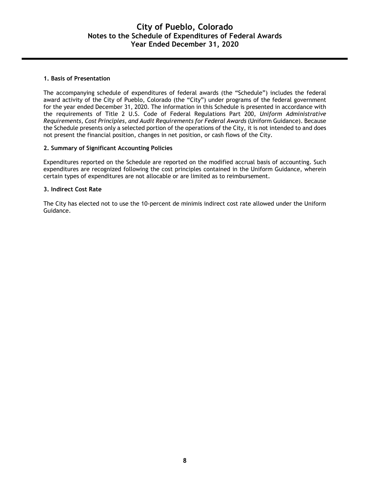#### **1. Basis of Presentation**

The accompanying schedule of expenditures of federal awards (the "Schedule") includes the federal award activity of the City of Pueblo, Colorado (the "City") under programs of the federal government for the year ended December 31, 2020. The information in this Schedule is presented in accordance with the requirements of Title 2 U.S. Code of Federal Regulations Part 200, *Uniform Administrative Requirements, Cost Principles, and Audit Requirements for Federal Awards* (Uniform Guidance). Because the Schedule presents only a selected portion of the operations of the City, it is not intended to and does not present the financial position, changes in net position, or cash flows of the City.

#### **2. Summary of Significant Accounting Policies**

Expenditures reported on the Schedule are reported on the modified accrual basis of accounting. Such expenditures are recognized following the cost principles contained in the Uniform Guidance, wherein certain types of expenditures are not allocable or are limited as to reimbursement.

#### **3. Indirect Cost Rate**

The City has elected not to use the 10-percent de minimis indirect cost rate allowed under the Uniform Guidance.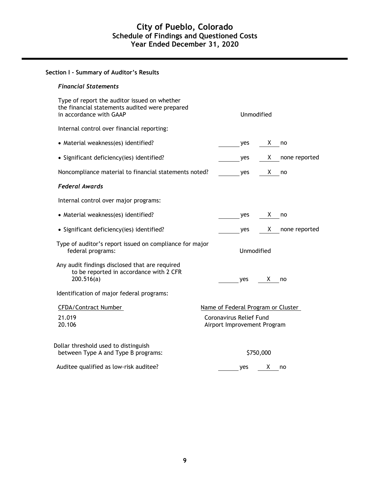| Section I - Summary of Auditor's Results                                                                                  |                                                        |                                    |     |            |               |
|---------------------------------------------------------------------------------------------------------------------------|--------------------------------------------------------|------------------------------------|-----|------------|---------------|
| <b>Financial Statements</b>                                                                                               |                                                        |                                    |     |            |               |
| Type of report the auditor issued on whether<br>the financial statements audited were prepared<br>in accordance with GAAP |                                                        |                                    |     | Unmodified |               |
| Internal control over financial reporting:                                                                                |                                                        |                                    |     |            |               |
| • Material weakness(es) identified?                                                                                       |                                                        |                                    | yes | X.         | no            |
| • Significant deficiency(ies) identified?                                                                                 |                                                        |                                    | yes | X.         | none reported |
| Noncompliance material to financial statements noted?                                                                     |                                                        |                                    | yes | X.         | no            |
| <b>Federal Awards</b>                                                                                                     |                                                        |                                    |     |            |               |
| Internal control over major programs:                                                                                     |                                                        |                                    |     |            |               |
| • Material weakness(es) identified?                                                                                       |                                                        |                                    | yes | X.         | no            |
| • Significant deficiency(ies) identified?                                                                                 |                                                        |                                    | yes | X.         | none reported |
| Type of auditor's report issued on compliance for major<br>federal programs:                                              |                                                        |                                    |     | Unmodified |               |
| Any audit findings disclosed that are required<br>to be reported in accordance with 2 CFR<br>200.516(a)                   |                                                        |                                    | yes | X.         | no            |
| Identification of major federal programs:                                                                                 |                                                        |                                    |     |            |               |
| CFDA/Contract Number                                                                                                      |                                                        | Name of Federal Program or Cluster |     |            |               |
| 21.019<br>20.106                                                                                                          | Coronavirus Relief Fund<br>Airport Improvement Program |                                    |     |            |               |
| Dollar threshold used to distinguish<br>between Type A and Type B programs:                                               |                                                        |                                    |     | \$750,000  |               |
| Auditee qualified as low-risk auditee?                                                                                    |                                                        |                                    | yes | X          | no            |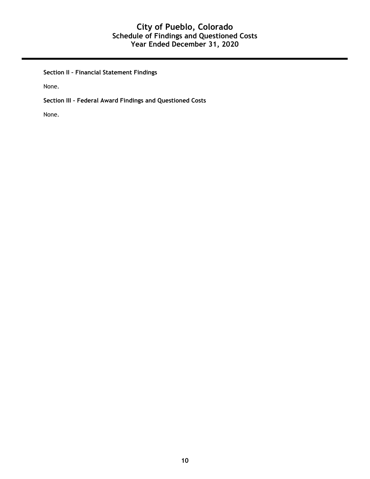## **City of Pueblo, Colorado Schedule of Findings and Questioned Costs Year Ended December 31, 2020**

**Section II – Financial Statement Findings** 

None.

**Section III – Federal Award Findings and Questioned Costs**

None.